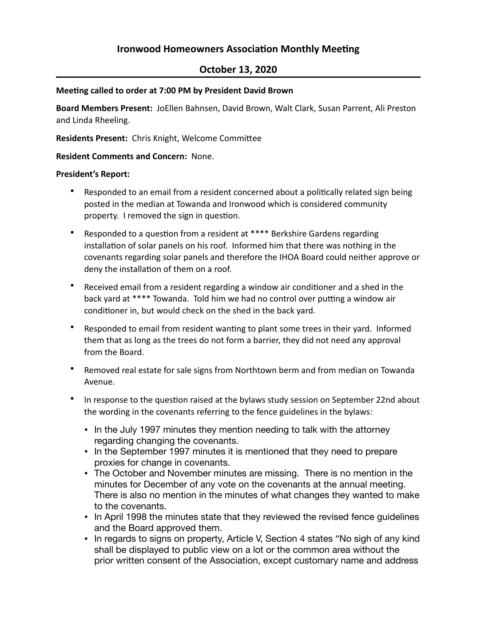# **Ironwood Homeowners Association Monthly Meeting**

## **October 13, 2020**

## **Meeting called to order at 7:00 PM by President David Brown**

Board Members Present: JoEllen Bahnsen, David Brown, Walt Clark, Susan Parrent, Ali Preston and Linda Rheeling.

**Residents Present:** Chris Knight, Welcome Committee

## **Resident Comments and Concern: None.**

#### **President's Report:**

- Responded to an email from a resident concerned about a politically related sign being posted in the median at Towanda and Ironwood which is considered community property. I removed the sign in question.
- Responded to a question from a resident at  $****$  Berkshire Gardens regarding installation of solar panels on his roof. Informed him that there was nothing in the covenants regarding solar panels and therefore the IHOA Board could neither approve or deny the installation of them on a roof.
- Received email from a resident regarding a window air conditioner and a shed in the back yard at \*\*\*\* Towanda. Told him we had no control over putting a window air conditioner in, but would check on the shed in the back yard.
- Responded to email from resident wanting to plant some trees in their yard. Informed them that as long as the trees do not form a barrier, they did not need any approval from the Board.
- Removed real estate for sale signs from Northtown berm and from median on Towanda Avenue.
- In response to the question raised at the bylaws study session on September 22nd about the wording in the covenants referring to the fence guidelines in the bylaws:
	- **•** In the July 1997 minutes they mention needing to talk with the attorney regarding changing the covenants.
	- **•** In the September 1997 minutes it is mentioned that they need to prepare proxies for change in covenants.
	- **•** The October and November minutes are missing. There is no mention in the minutes for December of any vote on the covenants at the annual meeting. There is also no mention in the minutes of what changes they wanted to make to the covenants.
	- **•** In April 1998 the minutes state that they reviewed the revised fence guidelines and the Board approved them.
	- **•** In regards to signs on property, Article V, Section 4 states "No sigh of any kind shall be displayed to public view on a lot or the common area without the prior written consent of the Association, except customary name and address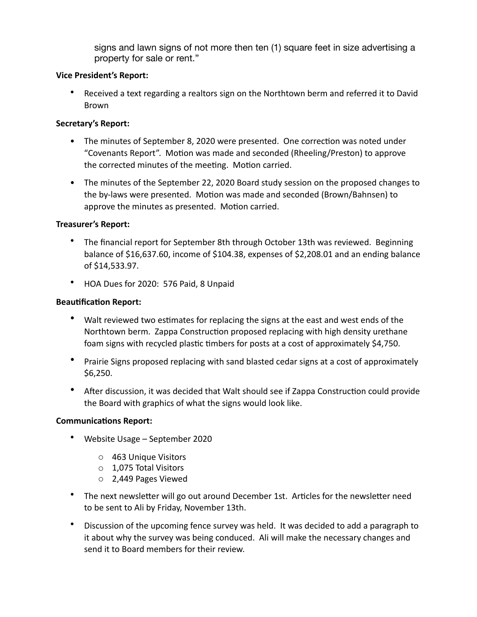signs and lawn signs of not more then ten (1) square feet in size advertising a property for sale or rent."

## **Vice President's Report:**

Received a text regarding a realtors sign on the Northtown berm and referred it to David Brown 

## **Secretary's Report:**

- The minutes of September 8, 2020 were presented. One correction was noted under "Covenants Report". Motion was made and seconded (Rheeling/Preston) to approve the corrected minutes of the meeting. Motion carried.
- The minutes of the September 22, 2020 Board study session on the proposed changes to the by-laws were presented. Motion was made and seconded (Brown/Bahnsen) to approve the minutes as presented. Motion carried.

## **Treasurer's Report:**

- The financial report for September 8th through October 13th was reviewed. Beginning balance of  $$16,637.60$ , income of  $$104.38$ , expenses of  $$2,208.01$  and an ending balance of \$14,533.97.
- HOA Dues for 2020: 576 Paid, 8 Unpaid

## **Beautification Report:**

- Walt reviewed two estimates for replacing the signs at the east and west ends of the Northtown berm. Zappa Construction proposed replacing with high density urethane foam signs with recycled plastic timbers for posts at a cost of approximately \$4,750.
- Prairie Signs proposed replacing with sand blasted cedar signs at a cost of approximately \$6,250.
- After discussion, it was decided that Walt should see if Zappa Construction could provide the Board with graphics of what the signs would look like.

## **Communications Report:**

- Website Usage September 2020
	- o 463 Unique Visitors
	- o 1,075 Total Visitors
	- o 2,449 Pages Viewed
- The next newsletter will go out around December 1st. Articles for the newsletter need to be sent to Ali by Friday, November 13th.
- Discussion of the upcoming fence survey was held. It was decided to add a paragraph to it about why the survey was being conduced. Ali will make the necessary changes and send it to Board members for their review.